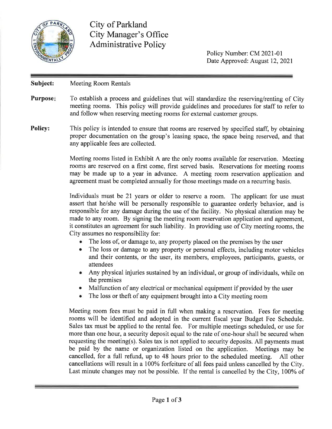

**City of Parkland City Manager's Office Administrative Policy** 

> Policy Number: CM 2021-01 Date Approved: August 12, 2021

## Subject: **Meeting Room Rentals**

- **Purpose:** To establish a process and guidelines that will standardize the reserving/renting of City meeting rooms. This policy will provide guidelines and procedures for staff to refer to and follow when reserving meeting rooms for external customer groups.
- **Policy:** This policy is intended to ensure that rooms are reserved by specified staff, by obtaining proper documentation on the group's leasing space, the space being reserved, and that any applicable fees are collected.

Meeting rooms listed in Exhibit A are the only rooms available for reservation. Meeting rooms are reserved on a first come, first served basis. Reservations for meeting rooms may be made up to a year in advance. A meeting room reservation application and agreement must be completed annually for those meetings made on a recurring basis.

Individuals must be 21 years or older to reserve a room. The applicant for use must assert that he/she will be personally responsible to guarantee orderly behavior, and is responsible for any damage during the use of the facility. No physical alteration may be made to any room. By signing the meeting room reservation application and agreement, it constitutes an agreement for such liability. In providing use of City meeting rooms, the City assumes no responsibility for:

- The loss of, or damage to, any property placed on the premises by the user
- $\bullet$ The loss or damage to any property or personal effects, including motor vehicles and their contents, or the user, its members, employees, participants, guests, or attendees
- Any physical injuries sustained by an individual, or group of individuals, while on  $\bullet$ the premises
- Malfunction of any electrical or mechanical equipment if provided by the user
- The loss or theft of any equipment brought into a City meeting room  $\bullet$

Meeting room fees must be paid in full when making a reservation. Fees for meeting rooms will be identified and adopted in the current fiscal year Budget Fee Schedule. Sales tax must be applied to the rental fee. For multiple meetings scheduled, or use for more than one hour, a security deposit equal to the rate of one-hour shall be secured when requesting the meeting(s). Sales tax is not applied to security deposits. All payments must be paid by the name or organization listed on the application. Meetings may be cancelled, for a full refund, up to 48 hours prior to the scheduled meeting. All other cancellations will result in a 100% forfeiture of all fees paid unless cancelled by the City. Last minute changes may not be possible. If the rental is cancelled by the City, 100% of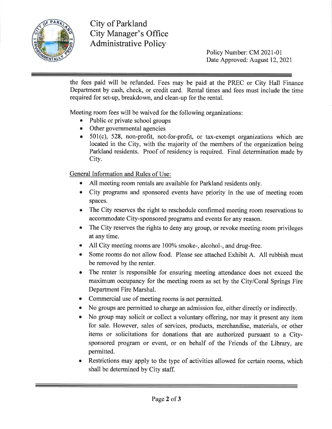

City of Parkland **City Manager's Office Administrative Policy** 

Policy Number: CM 2021-01 Date Approved: August 12, 2021

the fees paid will be refunded. Fees may be paid at the PREC or City Hall Finance Department by cash, check, or credit card. Rental times and fees must include the time required for set-up, breakdown, and clean-up for the rental.

Meeting room fees will be waived for the following organizations:

- Public or private school groups
- Other governmental agencies
- $\bullet$  501(c), 528, non-profit, not-for-profit, or tax-exempt organizations which are located in the City, with the majority of the members of the organization being Parkland residents. Proof of residency is required. Final determination made by City.

General Information and Rules of Use:

- All meeting room rentals are available for Parkland residents only.
- City programs and sponsored events have priority in the use of meeting room spaces.
- The City reserves the right to reschedule confirmed meeting room reservations to accommodate City-sponsored programs and events for any reason.
- $\bullet$ The City reserves the rights to deny any group, or revoke meeting room privileges at any time.
- All City meeting rooms are 100% smoke-, alcohol-, and drug-free.
- Some rooms do not allow food. Please see attached Exhibit A. All rubbish must  $\bullet$ be removed by the renter.
- The renter is responsible for ensuring meeting attendance does not exceed the maximum occupancy for the meeting room as set by the City/Coral Springs Fire Department Fire Marshal.
- Commercial use of meeting rooms is not permitted.  $\bullet$
- No groups are permitted to charge an admission fee, either directly or indirectly.
- No group may solicit or collect a voluntary offering, nor may it present any item  $\bullet$ for sale. However, sales of services, products, merchandise, materials, or other items or solicitations for donations that are authorized pursuant to a Citysponsored program or event, or on behalf of the Friends of the Library, are permitted.
- Restrictions may apply to the type of activities allowed for certain rooms, which shall be determined by City staff.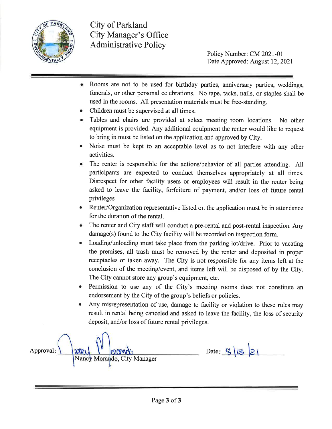

**City of Parkland City Manager's Office Administrative Policy** 

Policy Number: CM 2021-01 Date Approved: August 12, 2021

- Rooms are not to be used for birthday parties, anniversary parties, weddings, funerals, or other personal celebrations. No tape, tacks, nails, or staples shall be used in the rooms. All presentation materials must be free-standing.
- Children must be supervised at all times.
- Tables and chairs are provided at select meeting room locations. No other equipment is provided. Any additional equipment the renter would like to request to bring in must be listed on the application and approved by City.
- Noise must be kept to an acceptable level as to not interfere with any other activities.
- The renter is responsible for the actions/behavior of all parties attending. All participants are expected to conduct themselves appropriately at all times. Disrespect for other facility users or employees will result in the renter being asked to leave the facility, forfeiture of payment, and/or loss of future rental privileges.
- Renter/Organization representative listed on the application must be in attendance for the duration of the rental.
- The renter and City staff will conduct a pre-rental and post-rental inspection. Any damage(s) found to the City facility will be recorded on inspection form.
- Loading/unloading must take place from the parking lot/drive. Prior to vacating the premises, all trash must be removed by the renter and deposited in proper receptacles or taken away. The City is not responsible for any items left at the conclusion of the meeting/event, and items left will be disposed of by the City. The City cannot store any group's equipment, etc.
- Permission to use any of the City's meeting rooms does not constitute an endorsement by the City of the group's beliefs or policies.
- Any misrepresentation of use, damage to facility or violation to these rules may result in rental being canceled and asked to leave the facility, the loss of security deposit, and/or loss of future rental privileges.

Date:  $9|3|21$ Approval: anci Nancy Morando, City Manager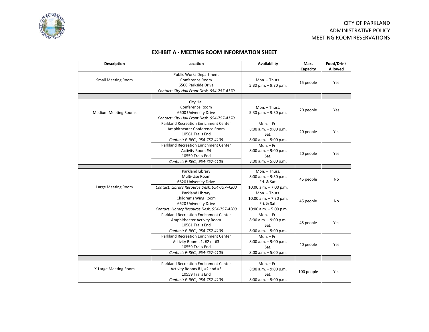

## CITY OF PARKLAND ADMINISTRATIVE POLICY MEETING ROOM RESERVATIONS

## **EXHIBIT A - MEETING ROOM INFORMATION SHEET**

| <b>Description</b>          | Location                                                                                                                          | <b>Availability</b>                                                               | Max.<br>Capacity | Food/Drink<br>Allowed |
|-----------------------------|-----------------------------------------------------------------------------------------------------------------------------------|-----------------------------------------------------------------------------------|------------------|-----------------------|
| <b>Small Meeting Room</b>   | <b>Public Works Department</b><br>Conference Room<br>6500 Parkside Drive<br>Contact: City Hall Front Desk, 954-757-4170           | Mon. - Thurs.<br>5:30 p.m. $-9:30$ p.m.                                           | 15 people        | Yes                   |
|                             |                                                                                                                                   |                                                                                   |                  |                       |
| <b>Medium Meeting Rooms</b> | City Hall<br>Conference Room<br>6600 University Drive<br>Contact: City Hall Front Desk, 954-757-4170                              | Mon. - Thurs.<br>5:30 p.m. $-9:30$ p.m.                                           | 20 people        | Yes                   |
|                             | <b>Parkland Recreation Enrichment Center</b><br>Amphitheater Conference Room<br>10561 Trails End<br>Contact: P-REC., 954-757-4105 | Mon. - Fri.<br>$8:00$ a.m. $-9:00$ p.m.<br>Sat.<br>$8:00$ a.m. $-5:00$ p.m.       | 20 people        | Yes                   |
|                             | Parkland Recreation Enrichment Center<br>Activity Room #4<br>10559 Trails End<br>Contact: P-REC., 954-757-4105                    | Mon. - Fri.<br>$8:00$ a.m. $-9:00$ p.m.<br>Sat.<br>$8:00$ a.m. $-5:00$ p.m.       | 20 people        | Yes                   |
|                             |                                                                                                                                   |                                                                                   |                  |                       |
| Large Meeting Room          | Parkland Library<br>Multi-Use Room<br>6620 University Drive<br>Contact: Library Resource Desk, 954-757-4200                       | Mon. - Thurs.<br>8:00 a.m. - 9:30 p.m.<br>Fri. & Sat.<br>10:00 a.m. $-7:00$ p.m.  | 45 people        | No                    |
|                             | Parkland Library<br>Children's Wing Room<br>6620 University Drive<br>Contact: Library Resource Desk, 954-757-4200                 | Mon. - Thurs.<br>10:00 a.m. - 7:30 p.m.<br>Fri. & Sat.<br>10:00 a.m. $-5:00$ p.m. | 45 people        | No                    |
|                             | Parkland Recreation Enrichment Center<br>Amphitheater Activity Room<br>10561 Trails End<br>Contact: P-REC., 954-757-4105          | Mon. - Fri.<br>$8:00$ a.m. $-9:00$ p.m.<br>Sat.<br>$8:00$ a.m. $-5:00$ p.m.       | 45 people        | Yes                   |
|                             | Parkland Recreation Enrichment Center<br>Activity Room #1, #2 or #3<br>10559 Trails End<br>Contact: P-REC., 954-757-4105          | Mon. - Fri.<br>$8:00$ a.m. $-9:00$ p.m.<br>Sat.<br>$8:00$ a.m. $-5:00$ p.m.       | 40 people        | Yes                   |
|                             |                                                                                                                                   |                                                                                   |                  |                       |
| X-Large Meeting Room        | <b>Parkland Recreation Enrichment Center</b><br>Activity Rooms #1, #2 and #3<br>10559 Trails End<br>Contact: P-REC., 954-757-4105 | Mon. - Fri.<br>$8:00$ a.m. $-9:00$ p.m.<br>Sat.<br>$8:00$ a.m. $-5:00$ p.m.       | 100 people       | Yes                   |